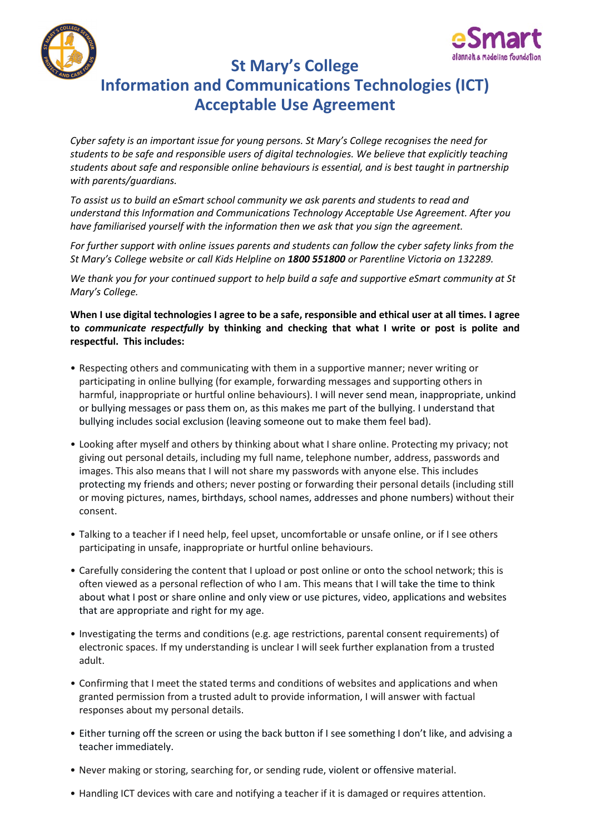



**St Mary's College**

## **Information and Communications Technologies (ICT) Acceptable Use Agreement**

*Cyber safety is an important issue for young persons. St Mary's College recognises the need for students to be safe and responsible users of digital technologies. We believe that explicitly teaching students about safe and responsible online behaviours is essential, and is best taught in partnership with parents/guardians.* 

*To assist us to build an eSmart school community we ask parents and students to read and understand this Information and Communications Technology Acceptable Use Agreement. After you have familiarised yourself with the information then we ask that you sign the agreement.* 

*For further support with online issues parents and students can follow the cyber safety links from the St Mary's College website or call Kids Helpline on 1800 551800 or Parentline Victoria on 132289.*

*We thank you for your continued support to help build a safe and supportive eSmart community at St Mary's College.*

**When I use digital technologies I agree to be a safe, responsible and ethical user at all times. I agree to** *communicate respectfully* **by thinking and checking that what I write or post is polite and respectful. This includes:**

- Respecting others and communicating with them in a supportive manner; never writing or participating in online bullying (for example, forwarding messages and supporting others in harmful, inappropriate or hurtful online behaviours). I will never send mean, inappropriate, unkind or bullying messages or pass them on, as this makes me part of the bullying. I understand that bullying includes social exclusion (leaving someone out to make them feel bad).
- Looking after myself and others by thinking about what I share online. Protecting my privacy; not giving out personal details, including my full name, telephone number, address, passwords and images. This also means that I will not share my passwords with anyone else. This includes protecting my friends and others; never posting or forwarding their personal details (including still or moving pictures, names, birthdays, school names, addresses and phone numbers) without their consent.
- Talking to a teacher if I need help, feel upset, uncomfortable or unsafe online, or if I see others participating in unsafe, inappropriate or hurtful online behaviours.
- Carefully considering the content that I upload or post online or onto the school network; this is often viewed as a personal reflection of who I am. This means that I will take the time to think about what I post or share online and only view or use pictures, video, applications and websites that are appropriate and right for my age.
- Investigating the terms and conditions (e.g. age restrictions, parental consent requirements) of electronic spaces. If my understanding is unclear I will seek further explanation from a trusted adult.
- Confirming that I meet the stated terms and conditions of websites and applications and when granted permission from a trusted adult to provide information, I will answer with factual responses about my personal details.
- Either turning off the screen or using the back button if I see something I don't like, and advising a teacher immediately.
- Never making or storing, searching for, or sending rude, violent or offensive material.
- Handling ICT devices with care and notifying a teacher if it is damaged or requires attention.